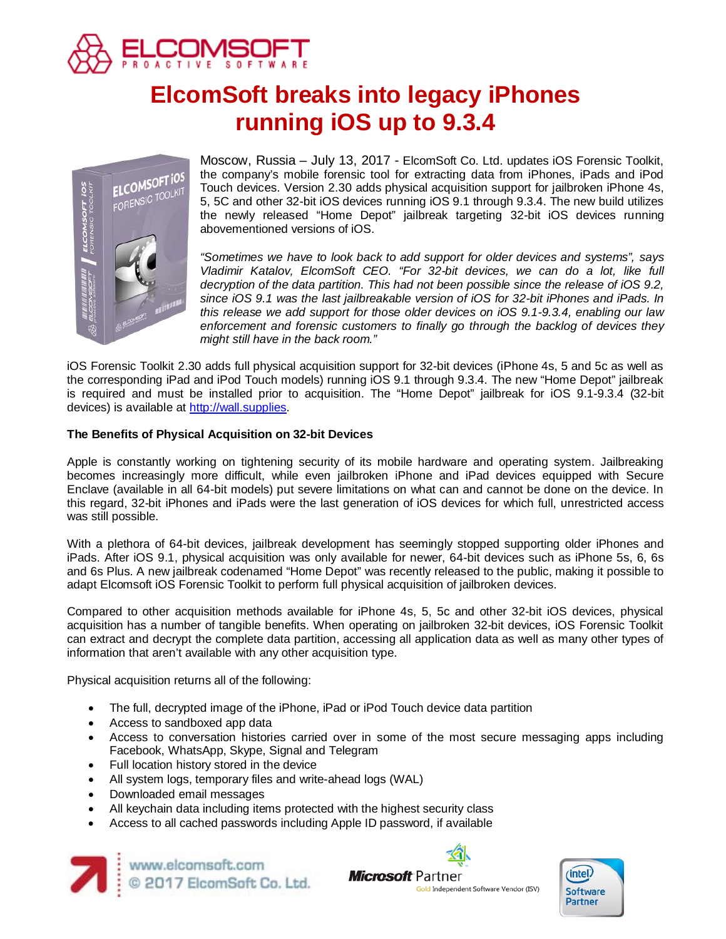

# **ElcomSoft breaks into legacy iPhones running iOS up to 9.3.4**



Moscow, Russia – July 13, 2017 - ElcomSoft Co. Ltd. updates iOS Forensic Toolkit, the company's mobile forensic tool for extracting data from iPhones, iPads and iPod Touch devices. Version 2.30 adds physical acquisition support for jailbroken iPhone 4s, 5, 5C and other 32-bit iOS devices running iOS 9.1 through 9.3.4. The new build utilizes the newly released "Home Depot" jailbreak targeting 32-bit iOS devices running abovementioned versions of iOS.

*"Sometimes we have to look back to add support for older devices and systems", says Vladimir Katalov, ElcomSoft CEO. "For 32-bit devices, we can do a lot, like full decryption of the data partition. This had not been possible since the release of iOS 9.2, since iOS 9.1 was the last jailbreakable version of iOS for 32-bit iPhones and iPads. In this release we add support for those older devices on iOS 9.1-9.3.4, enabling our law enforcement and forensic customers to finally go through the backlog of devices they might still have in the back room."*

iOS Forensic Toolkit 2.30 adds full physical acquisition support for 32-bit devices (iPhone 4s, 5 and 5c as well as the corresponding iPad and iPod Touch models) running iOS 9.1 through 9.3.4. The new "Home Depot" jailbreak is required and must be installed prior to acquisition. The "Home Depot" jailbreak for iOS 9.1-9.3.4 (32-bit devices) is available at [http://wall.supplies.](http://wall.supplies/)

### **The Benefits of Physical Acquisition on 32-bit Devices**

Apple is constantly working on tightening security of its mobile hardware and operating system. Jailbreaking becomes increasingly more difficult, while even jailbroken iPhone and iPad devices equipped with Secure Enclave (available in all 64-bit models) put severe limitations on what can and cannot be done on the device. In this regard, 32-bit iPhones and iPads were the last generation of iOS devices for which full, unrestricted access was still possible.

With a plethora of 64-bit devices, jailbreak development has seemingly stopped supporting older iPhones and iPads. After iOS 9.1, physical acquisition was only available for newer, 64-bit devices such as iPhone 5s, 6, 6s and 6s Plus. A new jailbreak codenamed "Home Depot" was recently released to the public, making it possible to adapt Elcomsoft iOS Forensic Toolkit to perform full physical acquisition of jailbroken devices.

Compared to other acquisition methods available for iPhone 4s, 5, 5c and other 32-bit iOS devices, physical acquisition has a number of tangible benefits. When operating on jailbroken 32-bit devices, iOS Forensic Toolkit can extract and decrypt the complete data partition, accessing all application data as well as many other types of information that aren't available with any other acquisition type.

Physical acquisition returns all of the following:

- The full, decrypted image of the iPhone, iPad or iPod Touch device data partition
- Access to sandboxed app data
- Access to conversation histories carried over in some of the most secure messaging apps including Facebook, WhatsApp, Skype, Signal and Telegram
- Full location history stored in the device
- All system logs, temporary files and write-ahead logs (WAL)
- Downloaded email messages
- All keychain data including items protected with the highest security class
- Access to all cached passwords including Apple ID password, if available